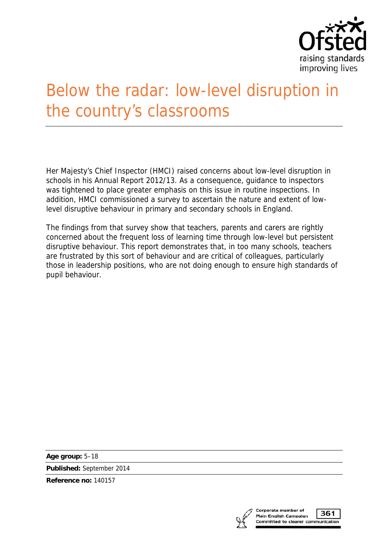

# Below the radar: low-level disruption in the country's classrooms

Her Majesty's Chief Inspector (HMCI) raised concerns about low-level disruption in schools in his Annual Report 2012/13. As a consequence, guidance to inspectors was tightened to place greater emphasis on this issue in routine inspections. In addition, HMCI commissioned a survey to ascertain the nature and extent of lowlevel disruptive behaviour in primary and secondary schools in England.

The findings from that survey show that teachers, parents and carers are rightly concerned about the frequent loss of learning time through low-level but persistent disruptive behaviour. This report demonstrates that, in too many schools, teachers are frustrated by this sort of behaviour and are critical of colleagues, particularly those in leadership positions, who are not doing enough to ensure high standards of pupil behaviour.

**Age group:** 5–18

**Published:** September 2014

**Reference no:** 140157

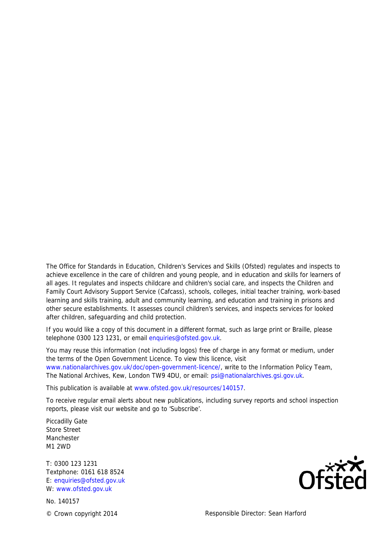The Office for Standards in Education, Children's Services and Skills (Ofsted) regulates and inspects to achieve excellence in the care of children and young people, and in education and skills for learners of all ages. It regulates and inspects childcare and children's social care, and inspects the Children and Family Court Advisory Support Service (Cafcass), schools, colleges, initial teacher training, work-based learning and skills training, adult and community learning, and education and training in prisons and other secure establishments. It assesses council children's services, and inspects services for looked after children, safeguarding and child protection.

If you would like a copy of this document in a different format, such as large print or Braille, please telephone 0300 123 1231, or email enquiries@ofsted.gov.uk.

You may reuse this information (not including logos) free of charge in any format or medium, under the terms of the Open Government Licence. To view this licence, visit www.nationalarchives.gov.uk/doc/open-government-licence/, write to the Information Policy Team, The National Archives, Kew, London TW9 4DU, or email: psi@nationalarchives.gsi.gov.uk.

This publication is available at www.ofsted.gov.uk/resources/140157.

To receive regular email alerts about new publications, including survey reports and school inspection reports, please visit our website and go to 'Subscribe'.

Piccadilly Gate Store Street Manchester M1 2WD

T: 0300 123 1231 Textphone: 0161 618 8524 E: enquiries@ofsted.gov.uk W: www.ofsted.gov.uk

No. 140157



© Crown copyright 2014 Responsible Director: Sean Harford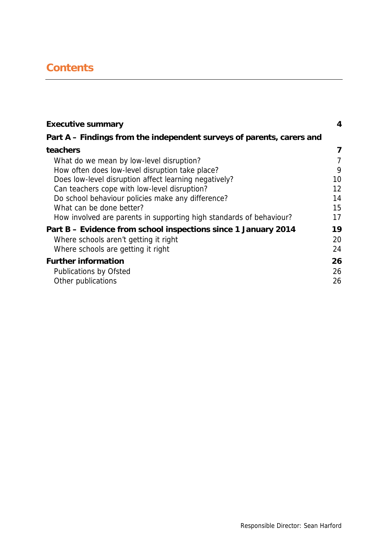# **Contents**

| <b>Executive summary</b>                                              | 4  |
|-----------------------------------------------------------------------|----|
| Part A – Findings from the independent surveys of parents, carers and |    |
| teachers                                                              | 7  |
| What do we mean by low-level disruption?                              | 7  |
| How often does low-level disruption take place?                       | 9  |
| Does low-level disruption affect learning negatively?                 | 10 |
| Can teachers cope with low-level disruption?                          | 12 |
| Do school behaviour policies make any difference?                     | 14 |
| What can be done better?                                              | 15 |
| How involved are parents in supporting high standards of behaviour?   | 17 |
| Part B - Evidence from school inspections since 1 January 2014        | 19 |
| Where schools aren't getting it right                                 | 20 |
| Where schools are getting it right                                    | 24 |
| <b>Further information</b>                                            | 26 |
| <b>Publications by Ofsted</b>                                         | 26 |
| Other publications                                                    | 26 |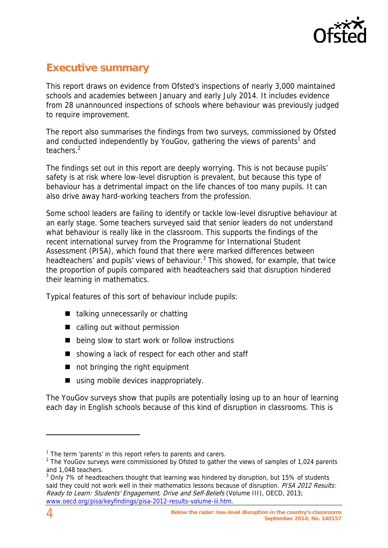

# **Executive summary**

This report draws on evidence from Ofsted's inspections of nearly 3,000 maintained schools and academies between January and early July 2014. It includes evidence from 28 unannounced inspections of schools where behaviour was previously judged to require improvement.

The report also summarises the findings from two surveys, commissioned by Ofsted and conducted independently by YouGov, gathering the views of parents<sup>1</sup> and teachers.<sup>2</sup>

The findings set out in this report are deeply worrying. This is not because pupils' safety is at risk where low-level disruption is prevalent, but because this type of behaviour has a detrimental impact on the life chances of too many pupils. It can also drive away hard-working teachers from the profession.

Some school leaders are failing to identify or tackle low-level disruptive behaviour at an early stage. Some teachers surveyed said that senior leaders do not understand what behaviour is really like in the classroom. This supports the findings of the recent international survey from the Programme for International Student Assessment (PISA), which found that there were marked differences between headteachers' and pupils' views of behaviour.<sup>3</sup> This showed, for example, that twice the proportion of pupils compared with headteachers said that disruption hindered their learning in mathematics.

Typical features of this sort of behaviour include pupils:

- $\blacksquare$  talking unnecessarily or chatting
- calling out without permission
- being slow to start work or follow instructions
- showing a lack of respect for each other and staff
- not bringing the right equipment
- using mobile devices inappropriately.

The YouGov surveys show that pupils are potentially losing up to an hour of learning each day in English schools because of this kind of disruption in classrooms. This is

<sup>&</sup>lt;sup>1</sup> The term 'parents' in this report refers to parents and carers.

 $2$  The YouGov surveys were commissioned by Ofsted to gather the views of samples of 1,024 parents and 1,048 teachers.

 $3$  Only 7% of headteachers thought that learning was hindered by disruption, but 15% of students said they could not work well in their mathematics lessons because of disruption. PISA 2012 Results: Ready to Learn: Students' Engagement, Drive and Self-Beliefs (Volume III), OECD, 2013; www.oecd.org/pisa/keyfindings/pisa-2012-results-volume-iii.htm.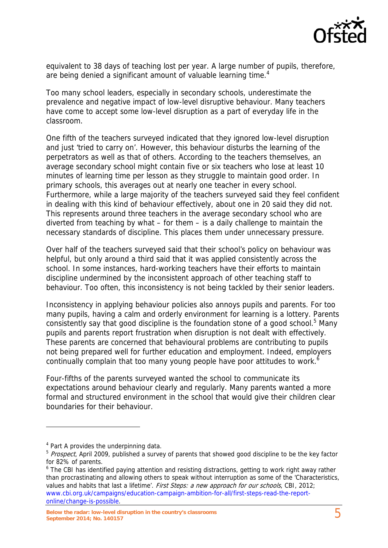

equivalent to 38 days of teaching lost per year. A large number of pupils, therefore, are being denied a significant amount of valuable learning time.<sup>4</sup>

Too many school leaders, especially in secondary schools, underestimate the prevalence and negative impact of low-level disruptive behaviour. Many teachers have come to accept some low-level disruption as a part of everyday life in the classroom.

One fifth of the teachers surveyed indicated that they ignored low-level disruption and just 'tried to carry on'. However, this behaviour disturbs the learning of the perpetrators as well as that of others. According to the teachers themselves, an average secondary school might contain five or six teachers who lose at least 10 minutes of learning time per lesson as they struggle to maintain good order. In primary schools, this averages out at nearly one teacher in every school. Furthermore, while a large majority of the teachers surveyed said they feel confident in dealing with this kind of behaviour effectively, about one in 20 said they did not. This represents around three teachers in the average secondary school who are diverted from teaching by what – for them – is a daily challenge to maintain the necessary standards of discipline. This places them under unnecessary pressure.

Over half of the teachers surveyed said that their school's policy on behaviour was helpful, but only around a third said that it was applied consistently across the school. In some instances, hard-working teachers have their efforts to maintain discipline undermined by the inconsistent approach of other teaching staff to behaviour. Too often, this inconsistency is not being tackled by their senior leaders.

Inconsistency in applying behaviour policies also annoys pupils and parents. For too many pupils, having a calm and orderly environment for learning is a lottery. Parents consistently say that good discipline is the foundation stone of a good school.<sup>5</sup> Many pupils and parents report frustration when disruption is not dealt with effectively. These parents are concerned that behavioural problems are contributing to pupils not being prepared well for further education and employment. Indeed, employers continually complain that too many young people have poor attitudes to work.<sup>6</sup>

Four-fifths of the parents surveyed wanted the school to communicate its expectations around behaviour clearly and regularly. Many parents wanted a more formal and structured environment in the school that would give their children clear boundaries for their behaviour.

<sup>&</sup>lt;sup>4</sup> Part A provides the underpinning data.

<sup>&</sup>lt;sup>5</sup> Prospect, April 2009, published a survey of parents that showed good discipline to be the key factor for 82% of parents.

<sup>&</sup>lt;sup>6</sup> The CBI has identified paying attention and resisting distractions, getting to work right away rather than procrastinating and allowing others to speak without interruption as some of the 'Characteristics, values and habits that last a lifetime'. First Steps: a new approach for our schools, CBI, 2012; www.cbi.org.uk/campaigns/education-campaign-ambition-for-all/first-steps-read-the-reportonline/change-is-possible.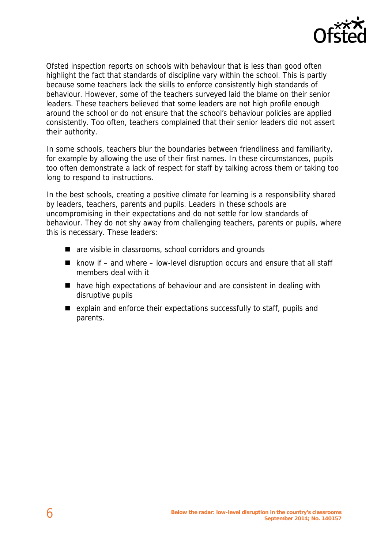

Ofsted inspection reports on schools with behaviour that is less than good often highlight the fact that standards of discipline vary within the school. This is partly because some teachers lack the skills to enforce consistently high standards of behaviour. However, some of the teachers surveyed laid the blame on their senior leaders. These teachers believed that some leaders are not high profile enough around the school or do not ensure that the school's behaviour policies are applied consistently. Too often, teachers complained that their senior leaders did not assert their authority.

In some schools, teachers blur the boundaries between friendliness and familiarity, for example by allowing the use of their first names. In these circumstances, pupils too often demonstrate a lack of respect for staff by talking across them or taking too long to respond to instructions.

In the best schools, creating a positive climate for learning is a responsibility shared by leaders, teachers, parents and pupils. Leaders in these schools are uncompromising in their expectations and do not settle for low standards of behaviour. They do not shy away from challenging teachers, parents or pupils, where this is necessary. These leaders:

- are visible in classrooms, school corridors and grounds
- $\blacksquare$  know if and where low-level disruption occurs and ensure that all staff members deal with it
- have high expectations of behaviour and are consistent in dealing with disruptive pupils
- $\blacksquare$  explain and enforce their expectations successfully to staff, pupils and parents.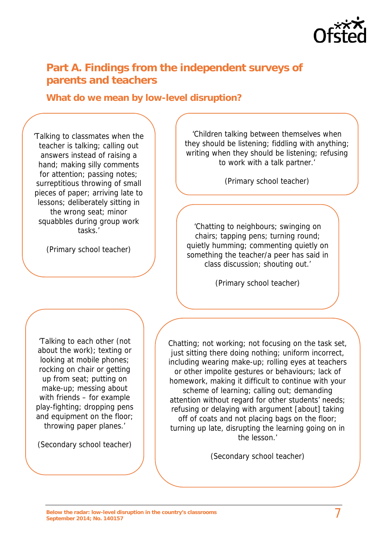

## **Part A. Findings from the independent surveys of parents and teachers**

#### **What do we mean by low-level disruption?**

'Talking to classmates when the teacher is talking; calling out answers instead of raising a hand; making silly comments for attention; passing notes; surreptitious throwing of small pieces of paper; arriving late to lessons; deliberately sitting in the wrong seat; minor squabbles during group work tasks.'

(Primary school teacher)

'Children talking between themselves when they should be listening; fiddling with anything; writing when they should be listening; refusing to work with a talk partner.'

(Primary school teacher)

'Chatting to neighbours; swinging on chairs; tapping pens; turning round; quietly humming; commenting quietly on something the teacher/a peer has said in class discussion; shouting out.'

(Primary school teacher)

'Talking to each other (not about the work); texting or looking at mobile phones; rocking on chair or getting up from seat; putting on make-up; messing about with friends – for example play-fighting; dropping pens and equipment on the floor; throwing paper planes.'

(Secondary school teacher)

Chatting; not working; not focusing on the task set, just sitting there doing nothing; uniform incorrect, including wearing make-up; rolling eyes at teachers or other impolite gestures or behaviours; lack of homework, making it difficult to continue with your scheme of learning; calling out; demanding attention without regard for other students' needs; refusing or delaying with argument [about] taking off of coats and not placing bags on the floor; turning up late, disrupting the learning going on in the lesson.'

(Secondary school teacher)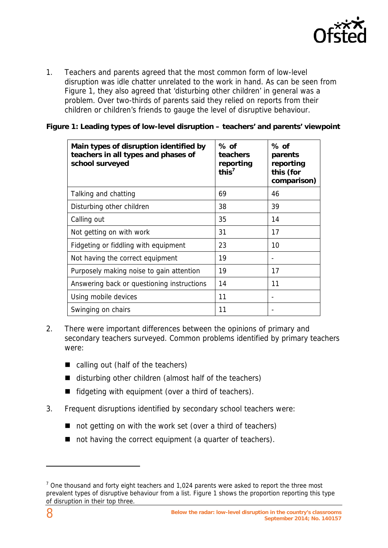

1. Teachers and parents agreed that the most common form of low-level disruption was idle chatter unrelated to the work in hand. As can be seen from Figure 1, they also agreed that 'disturbing other children' in general was a problem. Over two-thirds of parents said they relied on reports from their children or children's friends to gauge the level of disruptive behaviour.

#### **Figure 1: Leading types of low-level disruption – teachers' and parents' viewpoint**

| Main types of disruption identified by<br>teachers in all types and phases of<br>school surveyed | $%$ of<br>teachers<br>reporting<br>this $7$ | % of<br>parents<br>reporting<br>this (for<br>comparison) |
|--------------------------------------------------------------------------------------------------|---------------------------------------------|----------------------------------------------------------|
| Talking and chatting                                                                             | 69                                          | 46                                                       |
| Disturbing other children                                                                        | 38                                          | 39                                                       |
| Calling out                                                                                      | 35                                          | 14                                                       |
| Not getting on with work                                                                         | 31                                          | 17                                                       |
| Fidgeting or fiddling with equipment                                                             | 23                                          | 10                                                       |
| Not having the correct equipment                                                                 | 19                                          | $\qquad \qquad \blacksquare$                             |
| Purposely making noise to gain attention                                                         | 19                                          | 17                                                       |
| Answering back or questioning instructions                                                       | 14                                          | 11                                                       |
| Using mobile devices                                                                             | 11                                          |                                                          |
| Swinging on chairs                                                                               | 11                                          | -                                                        |

- 2. There were important differences between the opinions of primary and secondary teachers surveyed. Common problems identified by primary teachers were:
	- calling out (half of the teachers)
	- disturbing other children (almost half of the teachers)
	- $\blacksquare$  fidgeting with equipment (over a third of teachers).
- 3. Frequent disruptions identified by secondary school teachers were:
	- not getting on with the work set (over a third of teachers)
	- not having the correct equipment (a quarter of teachers).

 $<sup>7</sup>$  One thousand and forty eight teachers and 1,024 parents were asked to report the three most</sup> prevalent types of disruptive behaviour from a list. Figure 1 shows the proportion reporting this type of disruption in their top three.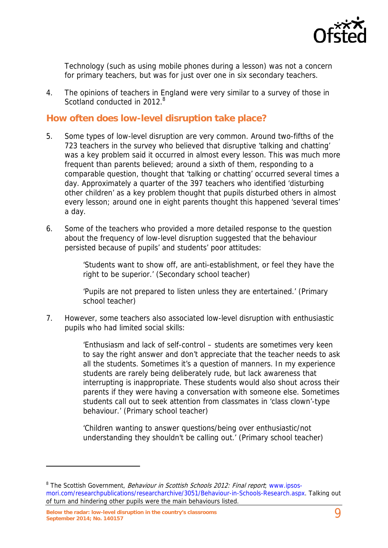

Technology (such as using mobile phones during a lesson) was not a concern for primary teachers, but was for just over one in six secondary teachers.

4. The opinions of teachers in England were very similar to a survey of those in Scotland conducted in 2012.<sup>8</sup>

#### **How often does low-level disruption take place?**

- 5. Some types of low-level disruption are very common. Around two-fifths of the 723 teachers in the survey who believed that disruptive 'talking and chatting' was a key problem said it occurred in almost every lesson. This was much more frequent than parents believed; around a sixth of them, responding to a comparable question, thought that 'talking or chatting' occurred several times a day. Approximately a quarter of the 397 teachers who identified 'disturbing other children' as a key problem thought that pupils disturbed others in almost every lesson; around one in eight parents thought this happened 'several times' a day.
- 6. Some of the teachers who provided a more detailed response to the question about the frequency of low-level disruption suggested that the behaviour persisted because of pupils' and students' poor attitudes:

'Students want to show off, are anti-establishment, or feel they have the right to be superior.' (Secondary school teacher)

'Pupils are not prepared to listen unless they are entertained.' (Primary school teacher)

7. However, some teachers also associated low-level disruption with enthusiastic pupils who had limited social skills:

> 'Enthusiasm and lack of self-control – students are sometimes very keen to say the right answer and don't appreciate that the teacher needs to ask all the students. Sometimes it's a question of manners. In my experience students are rarely being deliberately rude, but lack awareness that interrupting is inappropriate. These students would also shout across their parents if they were having a conversation with someone else. Sometimes students call out to seek attention from classmates in 'class clown'-type behaviour.' (Primary school teacher)

'Children wanting to answer questions/being over enthusiastic/not understanding they shouldn't be calling out.' (Primary school teacher)

<sup>&</sup>lt;sup>8</sup> The Scottish Government, *Behaviour in Scottish Schools 2012: Final report*, www.ipsosmori.com/researchpublications/researcharchive/3051/Behaviour-in-Schools-Research.aspx. Talking out of turn and hindering other pupils were the main behaviours listed.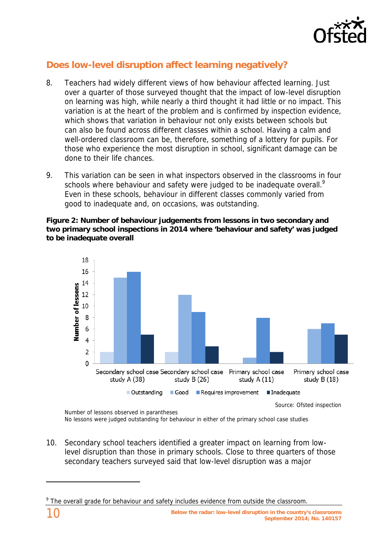

## **Does low-level disruption affect learning negatively?**

- 8. Teachers had widely different views of how behaviour affected learning. Just over a quarter of those surveyed thought that the impact of low-level disruption on learning was high, while nearly a third thought it had little or no impact. This variation is at the heart of the problem and is confirmed by inspection evidence, which shows that variation in behaviour not only exists between schools but can also be found across different classes within a school. Having a calm and well-ordered classroom can be, therefore, something of a lottery for pupils. For those who experience the most disruption in school, significant damage can be done to their life chances.
- 9. This variation can be seen in what inspectors observed in the classrooms in four schools where behaviour and safety were judged to be inadequate overall.<sup>9</sup> Even in these schools, behaviour in different classes commonly varied from good to inadequate and, on occasions, was outstanding.

**Figure 2: Number of behaviour judgements from lessons in two secondary and two primary school inspections in 2014 where 'behaviour and safety' was judged to be inadequate overall** 



Source: Ofsted inspection

10. Secondary school teachers identified a greater impact on learning from lowlevel disruption than those in primary schools. Close to three quarters of those secondary teachers surveyed said that low-level disruption was a major

Number of lessons observed in parantheses No lessons were judged outstanding for behaviour in either of the primary school case studies

<sup>&</sup>lt;sup>9</sup> The overall grade for behaviour and safety includes evidence from outside the classroom.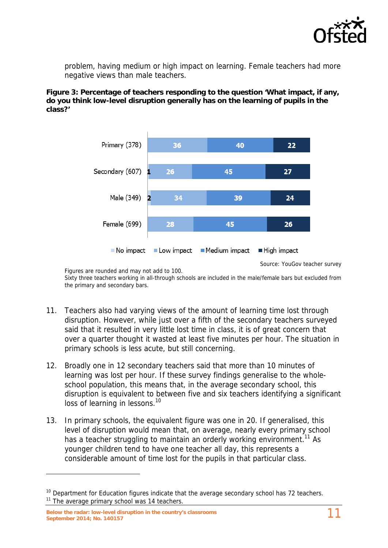

problem, having medium or high impact on learning. Female teachers had more negative views than male teachers.

**Figure 3: Percentage of teachers responding to the question 'What impact, if any, do you think low-level disruption generally has on the learning of pupils in the class?'** 



Source: YouGov teacher survey

Figures are rounded and may not add to 100. Sixty three teachers working in all-through schools are included in the male/female bars but excluded from the primary and secondary bars.

- 11. Teachers also had varying views of the amount of learning time lost through disruption. However, while just over a fifth of the secondary teachers surveyed said that it resulted in very little lost time in class, it is of great concern that over a quarter thought it wasted at least five minutes per hour. The situation in primary schools is less acute, but still concerning.
- 12. Broadly one in 12 secondary teachers said that more than 10 minutes of learning was lost per hour. If these survey findings generalise to the wholeschool population, this means that, in the average secondary school, this disruption is equivalent to between five and six teachers identifying a significant loss of learning in lessons.<sup>10</sup>
- 13. In primary schools, the equivalent figure was one in 20. If generalised, this level of disruption would mean that, on average, nearly every primary school has a teacher struggling to maintain an orderly working environment.<sup>11</sup> As younger children tend to have one teacher all day, this represents a considerable amount of time lost for the pupils in that particular class.

 $10$  Department for Education figures indicate that the average secondary school has 72 teachers.  $11$  The average primary school was 14 teachers.

**Below the radar: low-level disruption in the country's classrooms September 2014; No. 140157** 11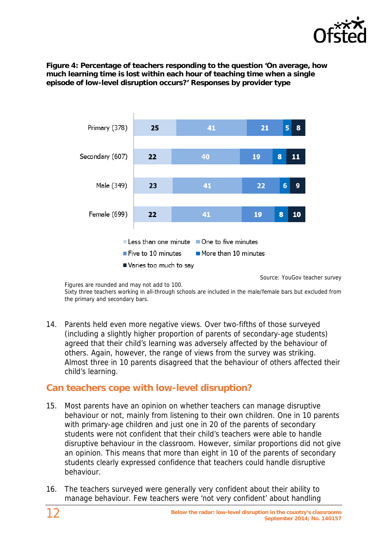

**Figure 4: Percentage of teachers responding to the question 'On average, how much learning time is lost within each hour of teaching time when a single episode of low-level disruption occurs?' Responses by provider type** 



Source: YouGov teacher survey

Figures are rounded and may not add to 100. Sixty three teachers working in all-through schools are included in the male/female bars but excluded from the primary and secondary bars.

14. Parents held even more negative views. Over two-fifths of those surveyed (including a slightly higher proportion of parents of secondary-age students) agreed that their child's learning was adversely affected by the behaviour of others. Again, however, the range of views from the survey was striking. Almost three in 10 parents disagreed that the behaviour of others affected their child's learning.

#### **Can teachers cope with low-level disruption?**

- 15. Most parents have an opinion on whether teachers can manage disruptive behaviour or not, mainly from listening to their own children. One in 10 parents with primary-age children and just one in 20 of the parents of secondary students were not confident that their child's teachers were able to handle disruptive behaviour in the classroom. However, similar proportions did not give an opinion. This means that more than eight in 10 of the parents of secondary students clearly expressed confidence that teachers could handle disruptive behaviour.
- 16. The teachers surveyed were generally very confident about their ability to manage behaviour. Few teachers were 'not very confident' about handling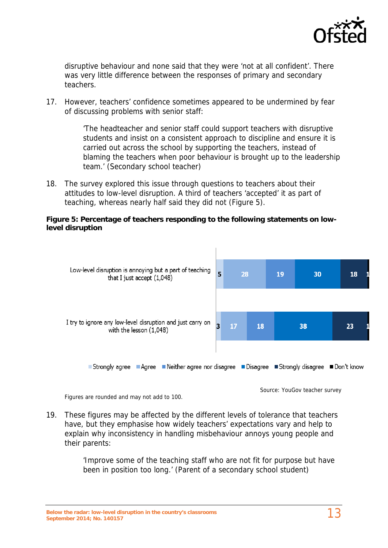

disruptive behaviour and none said that they were 'not at all confident'. There was very little difference between the responses of primary and secondary teachers.

17. However, teachers' confidence sometimes appeared to be undermined by fear of discussing problems with senior staff:

> 'The headteacher and senior staff could support teachers with disruptive students and insist on a consistent approach to discipline and ensure it is carried out across the school by supporting the teachers, instead of blaming the teachers when poor behaviour is brought up to the leadership team.' (Secondary school teacher)

18. The survey explored this issue through questions to teachers about their attitudes to low-level disruption. A third of teachers 'accepted' it as part of teaching, whereas nearly half said they did not (Figure 5).

#### **Figure 5: Percentage of teachers responding to the following statements on lowlevel disruption**



Figures are rounded and may not add to 100.

Source: YouGov teacher survey

19. These figures may be affected by the different levels of tolerance that teachers have, but they emphasise how widely teachers' expectations vary and help to explain why inconsistency in handling misbehaviour annoys young people and their parents:

> 'Improve some of the teaching staff who are not fit for purpose but have been in position too long.' (Parent of a secondary school student)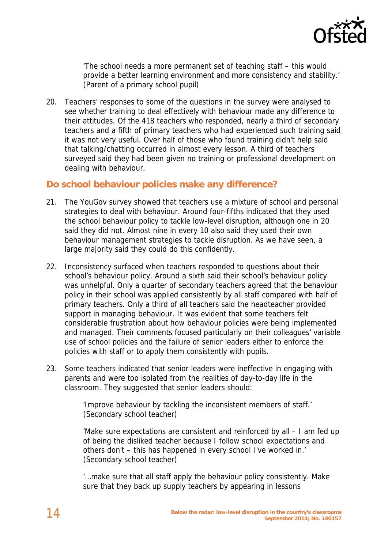

'The school needs a more permanent set of teaching staff – this would provide a better learning environment and more consistency and stability.' (Parent of a primary school pupil)

20. Teachers' responses to some of the questions in the survey were analysed to see whether training to deal effectively with behaviour made any difference to their attitudes. Of the 418 teachers who responded, nearly a third of secondary teachers and a fifth of primary teachers who had experienced such training said it was not very useful. Over half of those who found training didn't help said that talking/chatting occurred in almost every lesson. A third of teachers surveyed said they had been given no training or professional development on dealing with behaviour.

#### **Do school behaviour policies make any difference?**

- 21. The YouGov survey showed that teachers use a mixture of school and personal strategies to deal with behaviour. Around four-fifths indicated that they used the school behaviour policy to tackle low-level disruption, although one in 20 said they did not. Almost nine in every 10 also said they used their own behaviour management strategies to tackle disruption. As we have seen, a large majority said they could do this confidently.
- 22. Inconsistency surfaced when teachers responded to questions about their school's behaviour policy. Around a sixth said their school's behaviour policy was unhelpful. Only a quarter of secondary teachers agreed that the behaviour policy in their school was applied consistently by all staff compared with half of primary teachers. Only a third of all teachers said the headteacher provided support in managing behaviour. It was evident that some teachers felt considerable frustration about how behaviour policies were being implemented and managed. Their comments focused particularly on their colleagues' variable use of school policies and the failure of senior leaders either to enforce the policies with staff or to apply them consistently with pupils.
- 23. Some teachers indicated that senior leaders were ineffective in engaging with parents and were too isolated from the realities of day-to-day life in the classroom. They suggested that senior leaders should:

'Improve behaviour by tackling the inconsistent members of staff.' (Secondary school teacher)

'Make sure expectations are consistent and reinforced by all – I am fed up of being the disliked teacher because I follow school expectations and others don't – this has happened in every school I've worked in.' (Secondary school teacher)

'…make sure that all staff apply the behaviour policy consistently. Make sure that they back up supply teachers by appearing in lessons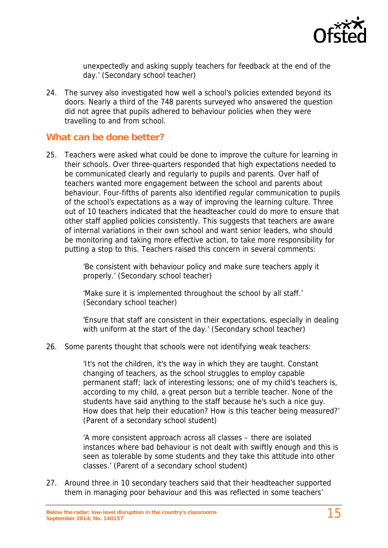

unexpectedly and asking supply teachers for feedback at the end of the day.' (Secondary school teacher)

24. The survey also investigated how well a school's policies extended beyond its doors. Nearly a third of the 748 parents surveyed who answered the question did not agree that pupils adhered to behaviour policies when they were travelling to and from school.

#### **What can be done better?**

25. Teachers were asked what could be done to improve the culture for learning in their schools. Over three-quarters responded that high expectations needed to be communicated clearly and regularly to pupils and parents. Over half of teachers wanted more engagement between the school and parents about behaviour. Four-fifths of parents also identified regular communication to pupils of the school's expectations as a way of improving the learning culture. Three out of 10 teachers indicated that the headteacher could do more to ensure that other staff applied policies consistently. This suggests that teachers are aware of internal variations in their own school and want senior leaders, who should be monitoring and taking more effective action, to take more responsibility for putting a stop to this. Teachers raised this concern in several comments:

> 'Be consistent with behaviour policy and make sure teachers apply it properly.' (Secondary school teacher)

'Make sure it is implemented throughout the school by all staff.' (Secondary school teacher)

'Ensure that staff are consistent in their expectations, especially in dealing with uniform at the start of the day.' (Secondary school teacher)

26. Some parents thought that schools were not identifying weak teachers:

'It's not the children, it's the way in which they are taught. Constant changing of teachers, as the school struggles to employ capable permanent staff; lack of interesting lessons; one of my child's teachers is, according to my child, a great person but a terrible teacher. None of the students have said anything to the staff because he's such a nice guy. How does that help their education? How is this teacher being measured?' (Parent of a secondary school student)

'A more consistent approach across all classes – there are isolated instances where bad behaviour is not dealt with swiftly enough and this is seen as tolerable by some students and they take this attitude into other classes.' (Parent of a secondary school student)

27. Around three in 10 secondary teachers said that their headteacher supported them in managing poor behaviour and this was reflected in some teachers'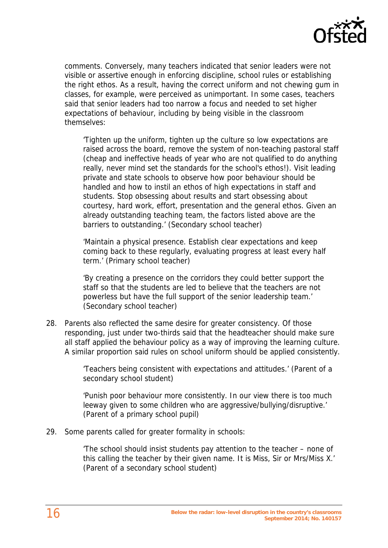

comments. Conversely, many teachers indicated that senior leaders were not visible or assertive enough in enforcing discipline, school rules or establishing the right ethos. As a result, having the correct uniform and not chewing gum in classes, for example, were perceived as unimportant. In some cases, teachers said that senior leaders had too narrow a focus and needed to set higher expectations of behaviour, including by being visible in the classroom themselves:

'Tighten up the uniform, tighten up the culture so low expectations are raised across the board, remove the system of non-teaching pastoral staff (cheap and ineffective heads of year who are not qualified to do anything really, never mind set the standards for the school's ethos!). Visit leading private and state schools to observe how poor behaviour should be handled and how to instil an ethos of high expectations in staff and students. Stop obsessing about results and start obsessing about courtesy, hard work, effort, presentation and the general ethos. Given an already outstanding teaching team, the factors listed above are the barriers to outstanding.' (Secondary school teacher)

'Maintain a physical presence. Establish clear expectations and keep coming back to these regularly, evaluating progress at least every half term.' (Primary school teacher)

'By creating a presence on the corridors they could better support the staff so that the students are led to believe that the teachers are not powerless but have the full support of the senior leadership team.' (Secondary school teacher)

28. Parents also reflected the same desire for greater consistency. Of those responding, just under two-thirds said that the headteacher should make sure all staff applied the behaviour policy as a way of improving the learning culture. A similar proportion said rules on school uniform should be applied consistently.

> 'Teachers being consistent with expectations and attitudes.' (Parent of a secondary school student)

> 'Punish poor behaviour more consistently. In our view there is too much leeway given to some children who are aggressive/bullying/disruptive.' (Parent of a primary school pupil)

29. Some parents called for greater formality in schools:

'The school should insist students pay attention to the teacher – none of this calling the teacher by their given name. It is Miss, Sir or Mrs/Miss X.' (Parent of a secondary school student)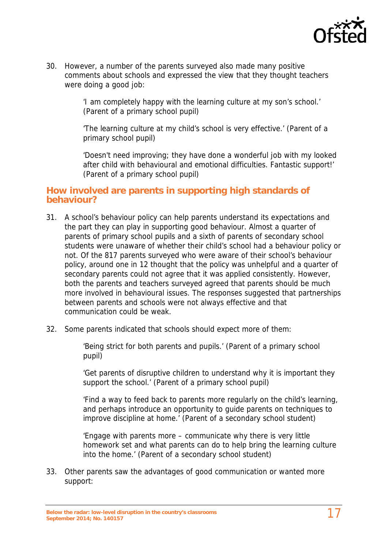

30. However, a number of the parents surveyed also made many positive comments about schools and expressed the view that they thought teachers were doing a good job:

> 'I am completely happy with the learning culture at my son's school.' (Parent of a primary school pupil)

'The learning culture at my child's school is very effective.' (Parent of a primary school pupil)

'Doesn't need improving; they have done a wonderful job with my looked after child with behavioural and emotional difficulties. Fantastic support!' (Parent of a primary school pupil)

#### **How involved are parents in supporting high standards of behaviour?**

- 31. A school's behaviour policy can help parents understand its expectations and the part they can play in supporting good behaviour. Almost a quarter of parents of primary school pupils and a sixth of parents of secondary school students were unaware of whether their child's school had a behaviour policy or not. Of the 817 parents surveyed who were aware of their school's behaviour policy, around one in 12 thought that the policy was unhelpful and a quarter of secondary parents could not agree that it was applied consistently. However, both the parents and teachers surveyed agreed that parents should be much more involved in behavioural issues. The responses suggested that partnerships between parents and schools were not always effective and that communication could be weak.
- 32. Some parents indicated that schools should expect more of them:

'Being strict for both parents and pupils.' (Parent of a primary school pupil)

'Get parents of disruptive children to understand why it is important they support the school.' (Parent of a primary school pupil)

'Find a way to feed back to parents more regularly on the child's learning, and perhaps introduce an opportunity to guide parents on techniques to improve discipline at home.' (Parent of a secondary school student)

'Engage with parents more – communicate why there is very little homework set and what parents can do to help bring the learning culture into the home.' (Parent of a secondary school student)

33. Other parents saw the advantages of good communication or wanted more support: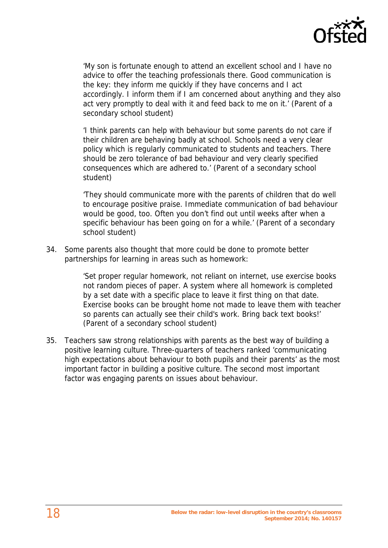

'My son is fortunate enough to attend an excellent school and I have no advice to offer the teaching professionals there. Good communication is the key: they inform me quickly if they have concerns and I act accordingly. I inform them if I am concerned about anything and they also act very promptly to deal with it and feed back to me on it.' (Parent of a secondary school student)

'I think parents can help with behaviour but some parents do not care if their children are behaving badly at school. Schools need a very clear policy which is regularly communicated to students and teachers. There should be zero tolerance of bad behaviour and very clearly specified consequences which are adhered to.' (Parent of a secondary school student)

'They should communicate more with the parents of children that do well to encourage positive praise. Immediate communication of bad behaviour would be good, too. Often you don't find out until weeks after when a specific behaviour has been going on for a while.' (Parent of a secondary school student)

34. Some parents also thought that more could be done to promote better partnerships for learning in areas such as homework:

> 'Set proper regular homework, not reliant on internet, use exercise books not random pieces of paper. A system where all homework is completed by a set date with a specific place to leave it first thing on that date. Exercise books can be brought home not made to leave them with teacher so parents can actually see their child's work. Bring back text books!' (Parent of a secondary school student)

35. Teachers saw strong relationships with parents as the best way of building a positive learning culture. Three-quarters of teachers ranked 'communicating high expectations about behaviour to both pupils and their parents' as the most important factor in building a positive culture. The second most important factor was engaging parents on issues about behaviour.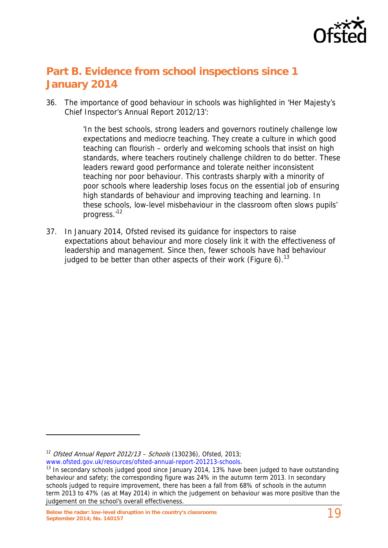

## **Part B. Evidence from school inspections since 1 January 2014**

36. The importance of good behaviour in schools was highlighted in 'Her Majesty's Chief Inspector's Annual Report 2012/13':

> 'In the best schools, strong leaders and governors routinely challenge low expectations and mediocre teaching. They create a culture in which good teaching can flourish – orderly and welcoming schools that insist on high standards, where teachers routinely challenge children to do better. These leaders reward good performance and tolerate neither inconsistent teaching nor poor behaviour. This contrasts sharply with a minority of poor schools where leadership loses focus on the essential job of ensuring high standards of behaviour and improving teaching and learning. In these schools, low-level misbehaviour in the classroom often slows pupils' progress.'12

37. In January 2014, Ofsted revised its guidance for inspectors to raise expectations about behaviour and more closely link it with the effectiveness of leadership and management. Since then, fewer schools have had behaviour judged to be better than other aspects of their work (Figure 6).<sup>13</sup>

<sup>&</sup>lt;sup>12</sup> *Ofsted Annual Report 2012/13 – Schools* (130236), Ofsted, 2013;<br>www.ofsted.gov.uk/resources/ofsted-annual-report-201213-schools.

 $13$  In secondary schools judged good since January 2014, 13% have been judged to have outstanding behaviour and safety; the corresponding figure was 24% in the autumn term 2013. In secondary schools judged to require improvement, there has been a fall from 68% of schools in the autumn term 2013 to 47% (as at May 2014) in which the judgement on behaviour was more positive than the judgement on the school's overall effectiveness.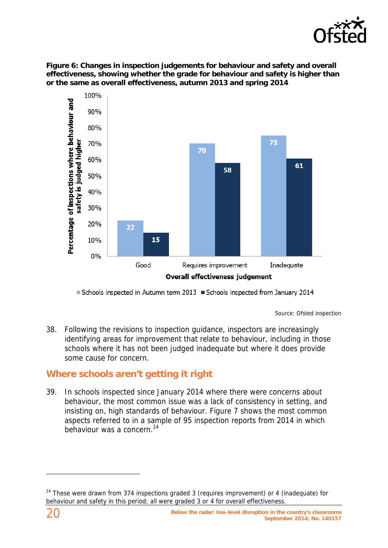

**Figure 6: Changes in inspection judgements for behaviour and safety and overall effectiveness, showing whether the grade for behaviour and safety is higher than or the same as overall effectiveness, autumn 2013 and spring 2014** 



Schools inspected in Autumn term 2013 Schools inspected from January 2014

Source: Ofsted inspection

38. Following the revisions to inspection guidance, inspectors are increasingly identifying areas for improvement that relate to behaviour, including in those schools where it has not been judged inadequate but where it does provide some cause for concern.

## **Where schools aren't getting it right**

39. In schools inspected since January 2014 where there were concerns about behaviour, the most common issue was a lack of consistency in setting, and insisting on, high standards of behaviour. Figure 7 shows the most common aspects referred to in a sample of 95 inspection reports from 2014 in which behaviour was a concern.14

<sup>&</sup>lt;sup>14</sup> These were drawn from 374 inspections graded 3 (requires improvement) or 4 (inadequate) for behaviour and safety in this period; all were graded 3 or 4 for overall effectiveness.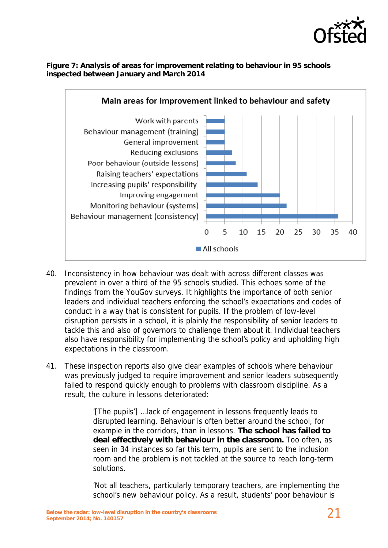

#### **Figure 7: Analysis of areas for improvement relating to behaviour in 95 schools inspected between January and March 2014**



- 40. Inconsistency in how behaviour was dealt with across different classes was prevalent in over a third of the 95 schools studied. This echoes some of the findings from the YouGov surveys. It highlights the importance of both senior leaders and individual teachers enforcing the school's expectations and codes of conduct in a way that is consistent for pupils. If the problem of low-level disruption persists in a school, it is plainly the responsibility of senior leaders to tackle this and also of governors to challenge them about it. Individual teachers also have responsibility for implementing the school's policy and upholding high expectations in the classroom.
- 41. These inspection reports also give clear examples of schools where behaviour was previously judged to require improvement and senior leaders subsequently failed to respond quickly enough to problems with classroom discipline. As a result, the culture in lessons deteriorated:

'[The pupils'] …lack of engagement in lessons frequently leads to disrupted learning. Behaviour is often better around the school, for example in the corridors, than in lessons. **The school has failed to deal effectively with behaviour in the classroom.** Too often, as seen in 34 instances so far this term, pupils are sent to the inclusion room and the problem is not tackled at the source to reach long-term solutions.

'Not all teachers, particularly temporary teachers, are implementing the school's new behaviour policy. As a result, students' poor behaviour is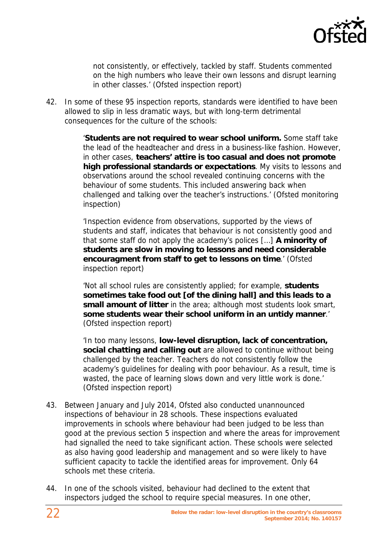

not consistently, or effectively, tackled by staff. Students commented on the high numbers who leave their own lessons and disrupt learning in other classes.' (Ofsted inspection report)

42. In some of these 95 inspection reports, standards were identified to have been allowed to slip in less dramatic ways, but with long-term detrimental consequences for the culture of the schools:

> '**Students are not required to wear school uniform.** Some staff take the lead of the headteacher and dress in a business-like fashion. However, in other cases, **teachers' attire is too casual and does not promote high professional standards or expectations**. My visits to lessons and observations around the school revealed continuing concerns with the behaviour of some students. This included answering back when challenged and talking over the teacher's instructions.' (Ofsted monitoring inspection)

'Inspection evidence from observations, supported by the views of students and staff, indicates that behaviour is not consistently good and that some staff do not apply the academy's polices […] **A minority of students are slow in moving to lessons and need considerable encouragment from staff to get to lessons on time**.' (Ofsted inspection report)

'Not all school rules are consistently applied; for example, **students sometimes take food out [of the dining hall] and this leads to a small amount of litter** in the area; although most students look smart, **some students wear their school uniform in an untidy manner**.' (Ofsted inspection report)

'In too many lessons, **low-level disruption, lack of concentration, social chatting and calling out** are allowed to continue without being challenged by the teacher. Teachers do not consistently follow the academy's guidelines for dealing with poor behaviour. As a result, time is wasted, the pace of learning slows down and very little work is done.' (Ofsted inspection report)

- 43. Between January and July 2014, Ofsted also conducted unannounced inspections of behaviour in 28 schools. These inspections evaluated improvements in schools where behaviour had been judged to be less than good at the previous section 5 inspection and where the areas for improvement had signalled the need to take significant action. These schools were selected as also having good leadership and management and so were likely to have sufficient capacity to tackle the identified areas for improvement. Only 64 schools met these criteria.
- 44. In one of the schools visited, behaviour had declined to the extent that inspectors judged the school to require special measures. In one other,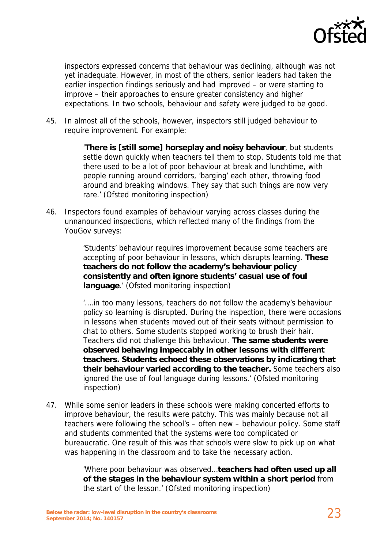

inspectors expressed concerns that behaviour was declining, although was not yet inadequate. However, in most of the others, senior leaders had taken the earlier inspection findings seriously and had improved – or were starting to improve – their approaches to ensure greater consistency and higher expectations. In two schools, behaviour and safety were judged to be good.

45. In almost all of the schools, however, inspectors still judged behaviour to require improvement. For example:

> '**There is [still some] horseplay and noisy behaviour**, but students settle down quickly when teachers tell them to stop. Students told me that there used to be a lot of poor behaviour at break and lunchtime, with people running around corridors, 'barging' each other, throwing food around and breaking windows. They say that such things are now very rare.' (Ofsted monitoring inspection)

46. Inspectors found examples of behaviour varying across classes during the unnanounced inspections, which reflected many of the findings from the YouGov surveys:

> 'Students' behaviour requires improvement because some teachers are accepting of poor behaviour in lessons, which disrupts learning. **These teachers do not follow the academy's behaviour policy consistently and often ignore students' casual use of foul language**.' (Ofsted monitoring inspection)

'….in too many lessons, teachers do not follow the academy's behaviour policy so learning is disrupted. During the inspection, there were occasions in lessons when students moved out of their seats without permission to chat to others. Some students stopped working to brush their hair. Teachers did not challenge this behaviour. **The same students were observed behaving impeccably in other lessons with different teachers. Students echoed these observations by indicating that their behaviour varied according to the teacher.** Some teachers also ignored the use of foul language during lessons.' (Ofsted monitoring inspection)

47. While some senior leaders in these schools were making concerted efforts to improve behaviour, the results were patchy. This was mainly because not all teachers were following the school's – often new – behaviour policy. Some staff and students commented that the systems were too complicated or bureaucratic. One result of this was that schools were slow to pick up on what was happening in the classroom and to take the necessary action.

> 'Where poor behaviour was observed…**teachers had often used up all of the stages in the behaviour system within a short period** from the start of the lesson.' (Ofsted monitoring inspection)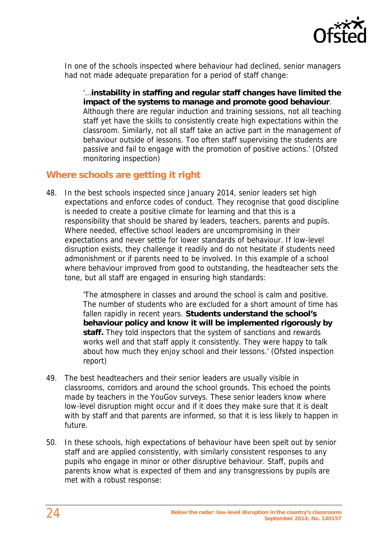

In one of the schools inspected where behaviour had declined, senior managers had not made adequate preparation for a period of staff change:

'…**instability in staffing and regular staff changes have limited the impact of the systems to manage and promote good behaviour**. Although there are regular induction and training sessions, not all teaching staff yet have the skills to consistently create high expectations within the classroom. Similarly, not all staff take an active part in the management of behaviour outside of lessons. Too often staff supervising the students are passive and fail to engage with the promotion of positive actions.' (Ofsted monitoring inspection)

#### **Where schools are getting it right**

48. In the best schools inspected since January 2014, senior leaders set high expectations and enforce codes of conduct. They recognise that good discipline is needed to create a positive climate for learning and that this is a responsibility that should be shared by leaders, teachers, parents and pupils. Where needed, effective school leaders are uncompromising in their expectations and never settle for lower standards of behaviour. If low-level disruption exists, they challenge it readily and do not hesitate if students need admonishment or if parents need to be involved. In this example of a school where behaviour improved from good to outstanding, the headteacher sets the tone, but all staff are engaged in ensuring high standards:

> 'The atmosphere in classes and around the school is calm and positive. The number of students who are excluded for a short amount of time has fallen rapidly in recent years. **Students understand the school's behaviour policy and know it will be implemented rigorously by staff.** They told inspectors that the system of sanctions and rewards works well and that staff apply it consistently. They were happy to talk about how much they enjoy school and their lessons.' (Ofsted inspection report)

- 49. The best headteachers and their senior leaders are usually visible in classrooms, corridors and around the school grounds. This echoed the points made by teachers in the YouGov surveys. These senior leaders know where low-level disruption might occur and if it does they make sure that it is dealt with by staff and that parents are informed, so that it is less likely to happen in future.
- 50. In these schools, high expectations of behaviour have been spelt out by senior staff and are applied consistently, with similarly consistent responses to any pupils who engage in minor or other disruptive behaviour. Staff, pupils and parents know what is expected of them and any transgressions by pupils are met with a robust response: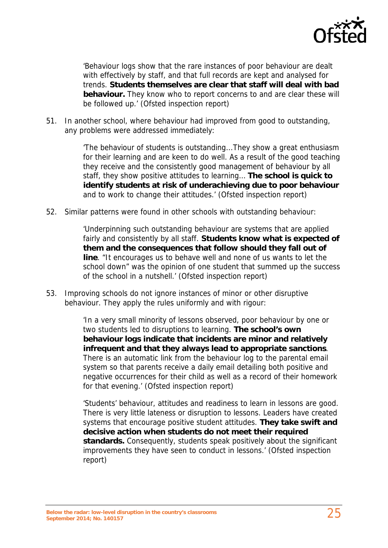

'Behaviour logs show that the rare instances of poor behaviour are dealt with effectively by staff, and that full records are kept and analysed for trends. **Students themselves are clear that staff will deal with bad behaviour.** They know who to report concerns to and are clear these will be followed up.' (Ofsted inspection report)

51. In another school, where behaviour had improved from good to outstanding, any problems were addressed immediately:

> 'The behaviour of students is outstanding...They show a great enthusiasm for their learning and are keen to do well. As a result of the good teaching they receive and the consistently good management of behaviour by all staff, they show positive attitudes to learning… **The school is quick to identify students at risk of underachieving due to poor behaviour** and to work to change their attitudes.' (Ofsted inspection report)

52. Similar patterns were found in other schools with outstanding behaviour:

'Underpinning such outstanding behaviour are systems that are applied fairly and consistently by all staff. **Students know what is expected of them and the consequences that follow should they fall out of line**. "It encourages us to behave well and none of us wants to let the school down" was the opinion of one student that summed up the success of the school in a nutshell.' (Ofsted inspection report)

53. Improving schools do not ignore instances of minor or other disruptive behaviour. They apply the rules uniformly and with rigour:

> 'In a very small minority of lessons observed, poor behaviour by one or two students led to disruptions to learning. **The school's own behaviour logs indicate that incidents are minor and relatively infrequent and that they always lead to appropriate sanctions**. There is an automatic link from the behaviour log to the parental email system so that parents receive a daily email detailing both positive and negative occurrences for their child as well as a record of their homework for that evening.' (Ofsted inspection report)

> 'Students' behaviour, attitudes and readiness to learn in lessons are good. There is very little lateness or disruption to lessons. Leaders have created systems that encourage positive student attitudes. **They take swift and decisive action when students do not meet their required standards.** Consequently, students speak positively about the significant improvements they have seen to conduct in lessons.' (Ofsted inspection report)